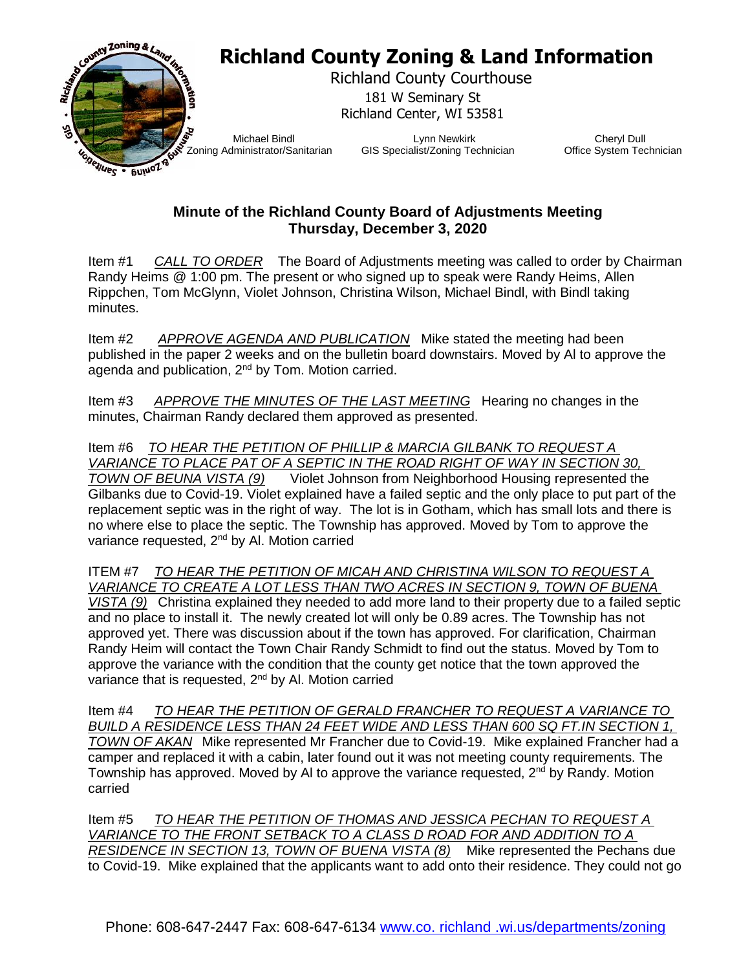

## **Minute of the Richland County Board of Adjustments Meeting Thursday, December 3, 2020**

Item #1 *CALL TO ORDER* The Board of Adjustments meeting was called to order by Chairman Randy Heims @ 1:00 pm. The present or who signed up to speak were Randy Heims, Allen Rippchen, Tom McGlynn, Violet Johnson, Christina Wilson, Michael Bindl, with Bindl taking minutes.

Item #2 *APPROVE AGENDA AND PUBLICATION* Mike stated the meeting had been published in the paper 2 weeks and on the bulletin board downstairs. Moved by Al to approve the agenda and publication, 2nd by Tom. Motion carried.

Item #3 *APPROVE THE MINUTES OF THE LAST MEETING* Hearing no changes in the minutes, Chairman Randy declared them approved as presented.

Item #6 *TO HEAR THE PETITION OF PHILLIP & MARCIA GILBANK TO REQUEST A VARIANCE TO PLACE PAT OF A SEPTIC IN THE ROAD RIGHT OF WAY IN SECTION 30, TOWN OF BEUNA VISTA (9)* Violet Johnson from Neighborhood Housing represented the Gilbanks due to Covid-19. Violet explained have a failed septic and the only place to put part of the replacement septic was in the right of way. The lot is in Gotham, which has small lots and there is no where else to place the septic. The Township has approved. Moved by Tom to approve the variance requested, 2<sup>nd</sup> by Al. Motion carried

ITEM #7 *TO HEAR THE PETITION OF MICAH AND CHRISTINA WILSON TO REQUEST A VARIANCE TO CREATE A LOT LESS THAN TWO ACRES IN SECTION 9, TOWN OF BUENA VISTA (9)* Christina explained they needed to add more land to their property due to a failed septic and no place to install it. The newly created lot will only be 0.89 acres. The Township has not approved yet. There was discussion about if the town has approved. For clarification, Chairman Randy Heim will contact the Town Chair Randy Schmidt to find out the status. Moved by Tom to approve the variance with the condition that the county get notice that the town approved the variance that is requested, 2<sup>nd</sup> by Al. Motion carried

Item #4 *TO HEAR THE PETITION OF GERALD FRANCHER TO REQUEST A VARIANCE TO BUILD A RESIDENCE LESS THAN 24 FEET WIDE AND LESS THAN 600 SQ FT.IN SECTION 1, TOWN OF AKAN* Mike represented Mr Francher due to Covid-19. Mike explained Francher had a camper and replaced it with a cabin, later found out it was not meeting county requirements. The Township has approved. Moved by AI to approve the variance requested,  $2<sup>nd</sup>$  by Randy. Motion carried

Item #5 *TO HEAR THE PETITION OF THOMAS AND JESSICA PECHAN TO REQUEST A VARIANCE TO THE FRONT SETBACK TO A CLASS D ROAD FOR AND ADDITION TO A RESIDENCE IN SECTION 13, TOWN OF BUENA VISTA (8)* Mike represented the Pechans due to Covid-19. Mike explained that the applicants want to add onto their residence. They could not go